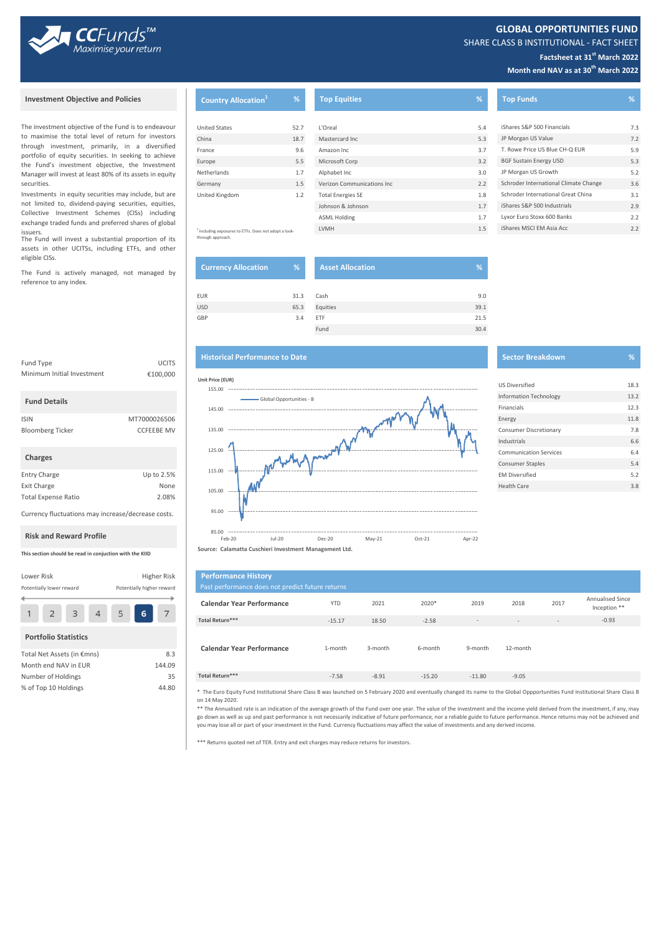

**GLOBAL OPPORTUNITIES FUND**

SHARE CLASS B INSTITUTIONAL - FACT SHEET

# **Factsheet at 31st March 2022**

**Month end NAV as at 30th March 2022**

issuers.<br>The Fund will invest a substantial proportion of its through approach. Investments in equity securities may include, but are not limited to, dividend-paying securities, equities, Collective Investment Schemes (CISs) including exchange traded funds and preferred shares of global

assets in other UCITSs, including ETFs, and other eligible CISs.

The Fund is actively managed, not managed by reference to any index.

Fund Type **UCITS** 

 **Fund Details**

Minimum Initial Investment

 **Charges**

Total Expense Ratio 2.08%

Currency fluctuations may increase/decrease costs.

Lower Risk **Higher Risk** Potentially lower reward Potentially higher reward

> $\overline{4}$ 5

6

 $\overline{7}$ 

**This section should be read in conjuction with the KIID**

Total Net Assets (in €mns) 8.3 Month end NAV in EUR 144.09 Number of Holdings 35 % of Top 10 Holdings 44.80

 **Portfolio Statistics**

 $\overline{2}$ 

 $\overline{3}$ 

 $\mathbf{1}$ 

 **Risk and Reward Profile**

| <b>Investment Objective and Policies</b>                                                                                                                                                                                                                                | <b>Country Allocation</b> <sup>1</sup>              | %    | <b>Top Equities</b>        | %'  | <b>Top Funds</b>                      | %   |
|-------------------------------------------------------------------------------------------------------------------------------------------------------------------------------------------------------------------------------------------------------------------------|-----------------------------------------------------|------|----------------------------|-----|---------------------------------------|-----|
|                                                                                                                                                                                                                                                                         |                                                     |      |                            |     |                                       |     |
| The investment objective of the Fund is to endeavour<br>o maximise the total level of return for investors<br>hrough investment, primarily, in a diversified<br>portfolio of equity securities. In seeking to achieve<br>he Fund's investment objective, the Investment | <b>United States</b>                                | 52.7 | L'Oreal                    | 5.4 | iShares S&P 500 Financials            | 7.3 |
|                                                                                                                                                                                                                                                                         | China                                               | 18.7 | Mastercard Inc             | 5.3 | JP Morgan US Value                    | 7.2 |
|                                                                                                                                                                                                                                                                         | France                                              | 9.6  | Amazon Inc                 | 3.7 | T. Rowe Price US Blue CH-Q EUR        | 5.9 |
|                                                                                                                                                                                                                                                                         | Europe                                              | 5.5  | Microsoft Corp             | 3.2 | <b>BGF Sustain Energy USD</b>         | 5.3 |
| Manager will invest at least 80% of its assets in equity                                                                                                                                                                                                                | Netherlands                                         | 1.7  | Alphabet Inc               | 3.0 | JP Morgan US Growth                   | 5.2 |
| ecurities.                                                                                                                                                                                                                                                              | Germany                                             | 1.5  | Verizon Communications Inc | 2.2 | Schroder International Climate Change | 3.6 |
| nvestments in equity securities may include, but are<br>not limited to, dividend-paying securities, equities,                                                                                                                                                           | United Kingdom                                      | 1.2  | <b>Total Energies SE</b>   | 1.8 | Schroder International Great China    | 3.1 |
|                                                                                                                                                                                                                                                                         | including exposures to ETFs. Does not adopt a look- |      | Johnson & Johnson          | 1.7 | iShares S&P 500 Industrials           | 2.9 |
| Collective Investment Schemes (CISs) including                                                                                                                                                                                                                          |                                                     |      | <b>ASML Holding</b>        | 1.7 | Lyxor Euro Stoxx 600 Banks            | 2.2 |
| exchange traded funds and preferred shares of global<br>$c$ cuorc                                                                                                                                                                                                       |                                                     |      | LVMH                       | 1.5 | iShares MSCI EM Asia Acc              | 2.2 |

through approach.

| <b>Currency Allocation</b> | %    | <b>Asset Allocation</b> | %    |
|----------------------------|------|-------------------------|------|
| <b>EUR</b>                 | 31.3 | Cash                    | 9.0  |
| <b>USD</b>                 | 65.3 | Equities                | 39.1 |
| GBP                        | 3.4  | ETF                     | 21.5 |
|                            |      | Fund                    | 30.4 |

## **Historical Performance to Date** Sector Breakdown **Sector Breakdown**





85.00 ---<br>Feb-20 Feb-20 Jul-20 Dec-20 May-21 Oct-21 Apr-22

**Source: Calamatta Cuschieri Investment Management Ltd.**

| <b>Performance History</b><br>Past performance does not predict future returns |            |         |          |          |          |                |                                         |
|--------------------------------------------------------------------------------|------------|---------|----------|----------|----------|----------------|-----------------------------------------|
| <b>Calendar Year Performance</b>                                               | <b>YTD</b> | 2021    | 2020*    | 2019     | 2018     | 2017           | <b>Annualised Since</b><br>Inception ** |
| Total Return***                                                                | $-15.17$   | 18.50   | $-2.58$  | $\sim$   | $\sim$   | $\overline{a}$ | $-0.93$                                 |
| <b>Calendar Year Performance</b>                                               | 1-month    | 3-month | 6-month  | 9-month  | 12-month |                |                                         |
| Total Return***                                                                | $-7.58$    | $-8.91$ | $-15.20$ | $-11.80$ | $-9.05$  |                |                                         |

\* The Euro Equity Fund Institutional Share Class B was launched on 5 February 2020 and eventually changed its name to the Global Oppportunities Fund Institutional Share Class B on 14 May 2020.

\*\* The Annualised rate is an indication of the average growth of the Fund over one year. The value of the investment and the income yield derived from the investment, if any, may<br>go down as well as up and past performance you may lose all or part of your investment in the Fund. Currency fluctuations may affect the value of investments and any derived income.

\*\*\* Returns quoted net of TER. Entry and exit charges may reduce returns for investors.

| <b>US Diversified</b>         | 18.3 |
|-------------------------------|------|
| <b>Information Technology</b> | 13.2 |
| Financials                    | 12.3 |
| Energy                        | 11.8 |
| Consumer Discretionary        | 7.8  |
| Industrials                   | 6.6  |
| <b>Communication Services</b> | 6.4  |
| <b>Consumer Staples</b>       | 5.4  |
| <b>EM Diversified</b>         | 5.2  |
| Health Care                   | 3.8  |